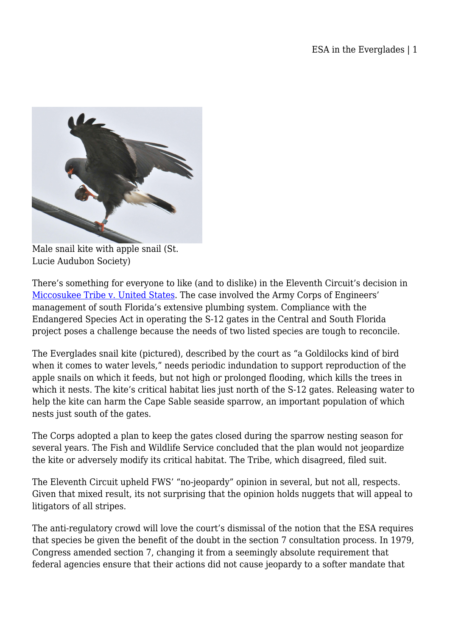

Male snail kite with apple snail (St. Lucie Audubon Society)

There's something for everyone to like (and to dislike) in the Eleventh Circuit's decision in [Miccosukee Tribe v. United States](http://www.ca11.uscourts.gov/opinions/ops/200810799.pdf). The case involved the Army Corps of Engineers' management of south Florida's extensive plumbing system. Compliance with the Endangered Species Act in operating the S-12 gates in the Central and South Florida project poses a challenge because the needs of two listed species are tough to reconcile.

The Everglades snail kite (pictured), described by the court as "a Goldilocks kind of bird when it comes to water levels," needs periodic indundation to support reproduction of the apple snails on which it feeds, but not high or prolonged flooding, which kills the trees in which it nests. The kite's critical habitat lies just north of the S-12 gates. Releasing water to help the kite can harm the Cape Sable seaside sparrow, an important population of which nests just south of the gates.

The Corps adopted a plan to keep the gates closed during the sparrow nesting season for several years. The Fish and Wildlife Service concluded that the plan would not jeopardize the kite or adversely modify its critical habitat. The Tribe, which disagreed, filed suit.

The Eleventh Circuit upheld FWS' "no-jeopardy" opinion in several, but not all, respects. Given that mixed result, its not surprising that the opinion holds nuggets that will appeal to litigators of all stripes.

The anti-regulatory crowd will love the court's dismissal of the notion that the ESA requires that species be given the benefit of the doubt in the section 7 consultation process. In 1979, Congress amended section 7, changing it from a seemingly absolute requirement that federal agencies ensure that their actions did not cause jeopardy to a softer mandate that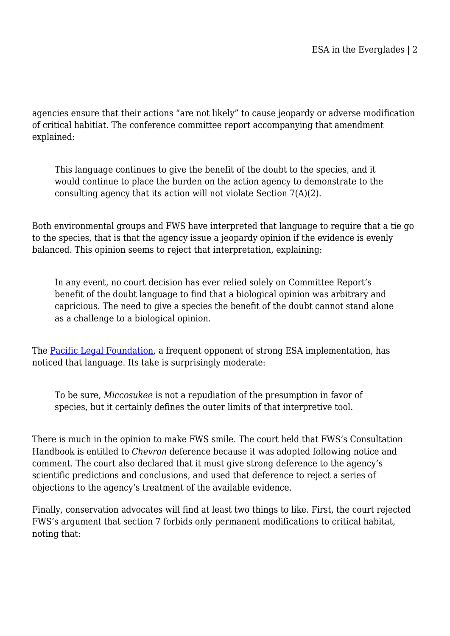agencies ensure that their actions "are not likely" to cause jeopardy or adverse modification of critical habitiat. The conference committee report accompanying that amendment explained:

This language continues to give the benefit of the doubt to the species, and it would continue to place the burden on the action agency to demonstrate to the consulting agency that its action will not violate Section 7(A)(2).

Both environmental groups and FWS have interpreted that language to require that a tie go to the species, that is that the agency issue a jeopardy opinion if the evidence is evenly balanced. This opinion seems to reject that interpretation, explaining:

In any event, no court decision has ever relied solely on Committee Report's benefit of the doubt language to find that a biological opinion was arbitrary and capricious. The need to give a species the benefit of the doubt cannot stand alone as a challenge to a biological opinion.

The [Pacific Legal Foundation,](http://plf.typepad.com/esa/2009/05/a-retrenchment-of-the-benefit-of-the-doubt-to-the-species.html) a frequent opponent of strong ESA implementation, has noticed that language. Its take is surprisingly moderate:

To be sure, *Miccosukee* is not a repudiation of the presumption in favor of species, but it certainly defines the outer limits of that interpretive tool.

There is much in the opinion to make FWS smile. The court held that FWS's Consultation Handbook is entitled to *Chevron* deference because it was adopted following notice and comment. The court also declared that it must give strong deference to the agency's scientific predictions and conclusions, and used that deference to reject a series of objections to the agency's treatment of the available evidence.

Finally, conservation advocates will find at least two things to like. First, the court rejected FWS's argument that section 7 forbids only permanent modifications to critical habitat, noting that: